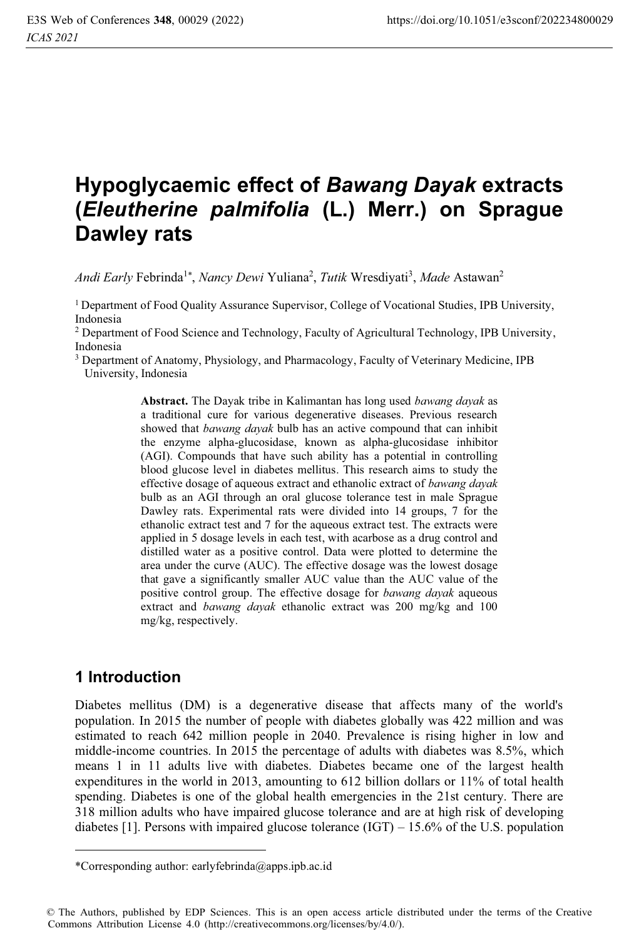# **Hypoglycaemic effect of** *Bawang Dayak* **extracts (***Eleutherine palmifolia* **(L.) Merr.) on Sprague Dawley rats**

Andi Early Febrinda<sup>1\*</sup>, *Nancy Dewi* Yuliana<sup>2</sup>, *Tutik* Wresdiyati<sup>3</sup>, *Made* Astawan<sup>2</sup>

1 Department of Food Quality Assurance Supervisor, College of Vocational Studies, IPB University, Indonesia

2 Department of Food Science and Technology, Faculty of Agricultural Technology, IPB University, Indonesia

3 Department of Anatomy, Physiology, and Pharmacology, Faculty of Veterinary Medicine, IPB University, Indonesia

> **Abstract.** The Dayak tribe in Kalimantan has long used *bawang dayak* as a traditional cure for various degenerative diseases. Previous research showed that *bawang dayak* bulb has an active compound that can inhibit the enzyme alpha-glucosidase, known as alpha-glucosidase inhibitor (AGI). Compounds that have such ability has a potential in controlling blood glucose level in diabetes mellitus. This research aims to study the effective dosage of aqueous extract and ethanolic extract of *bawang dayak* bulb as an AGI through an oral glucose tolerance test in male Sprague Dawley rats. Experimental rats were divided into 14 groups, 7 for the ethanolic extract test and 7 for the aqueous extract test. The extracts were applied in 5 dosage levels in each test, with acarbose as a drug control and distilled water as a positive control. Data were plotted to determine the area under the curve (AUC). The effective dosage was the lowest dosage that gave a significantly smaller AUC value than the AUC value of the positive control group. The effective dosage for *bawang dayak* aqueous extract and *bawang dayak* ethanolic extract was 200 mg/kg and 100 mg/kg, respectively.

## **1 Introduction**

Diabetes mellitus (DM) is a degenerative disease that affects many of the world's population. In 2015 the number of people with diabetes globally was 422 million and was estimated to reach 642 million people in 2040. Prevalence is rising higher in low and middle-income countries. In 2015 the percentage of adults with diabetes was 8.5%, which means 1 in 11 adults live with diabetes. Diabetes became one of the largest health expenditures in the world in 2013, amounting to 612 billion dollars or 11% of total health spending. Diabetes is one of the global health emergencies in the 21st century. There are 318 million adults who have impaired glucose tolerance and are at high risk of developing diabetes [1]. Persons with impaired glucose tolerance  $(IGT) - 15.6\%$  of the U.S. population

<sup>\*</sup>Corresponding author: earlyfebrinda@apps.ipb.ac.id

<sup>©</sup> The Authors, published by EDP Sciences. This is an open access article distributed under the terms of the Creative Commons Attribution License 4.0 (http://creativecommons.org/licenses/by/4.0/).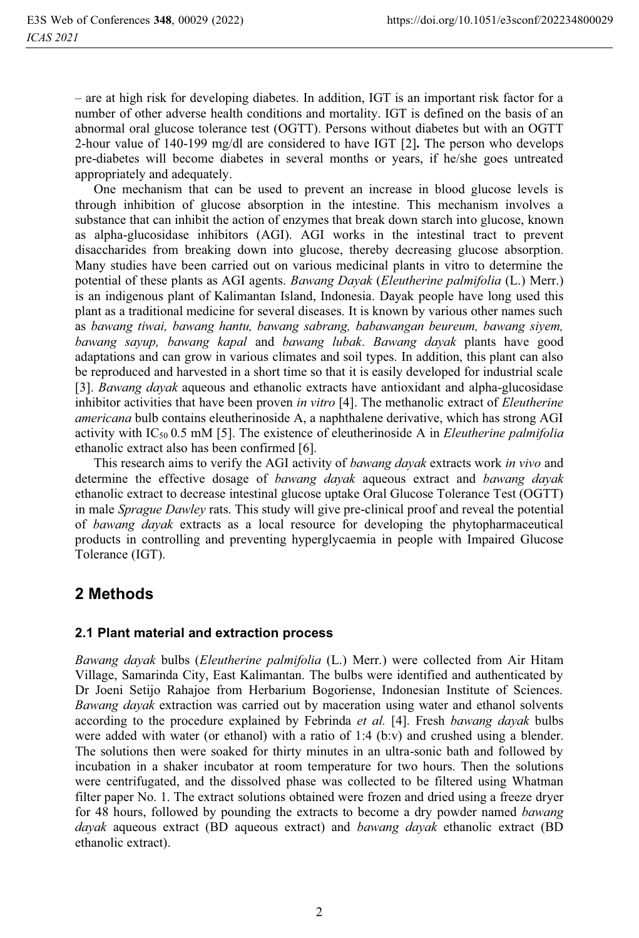– are at high risk for developing diabetes. In addition, IGT is an important risk factor for a number of other adverse health conditions and mortality. IGT is defined on the basis of an abnormal oral glucose tolerance test (OGTT). Persons without diabetes but with an OGTT 2-hour value of 140-199 mg/dl are considered to have IGT [2]**.** The person who develops pre-diabetes will become diabetes in several months or years, if he/she goes untreated appropriately and adequately.

One mechanism that can be used to prevent an increase in blood glucose levels is through inhibition of glucose absorption in the intestine. This mechanism involves a substance that can inhibit the action of enzymes that break down starch into glucose, known as alpha-glucosidase inhibitors (AGI). AGI works in the intestinal tract to prevent disaccharides from breaking down into glucose, thereby decreasing glucose absorption. Many studies have been carried out on various medicinal plants in vitro to determine the potential of these plants as AGI agents. *Bawang Dayak* (*Eleutherine palmifolia* (L.) Merr.) is an indigenous plant of Kalimantan Island, Indonesia. Dayak people have long used this plant as a traditional medicine for several diseases. It is known by various other names such as *bawang tiwai, bawang hantu, bawang sabrang, babawangan beureum, bawang siyem, bawang sayup, bawang kapal* and *bawang lubak*. *Bawang dayak* plants have good adaptations and can grow in various climates and soil types. In addition, this plant can also be reproduced and harvested in a short time so that it is easily developed for industrial scale [3]. *Bawang dayak* aqueous and ethanolic extracts have antioxidant and alpha-glucosidase inhibitor activities that have been proven *in vitro* [4]. The methanolic extract of *Eleutherine americana* bulb contains eleutherinoside A, a naphthalene derivative, which has strong AGI activity with IC50 0.5 mM [5]. The existence of eleutherinoside A in *Eleutherine palmifolia* ethanolic extract also has been confirmed [6].

This research aims to verify the AGI activity of *bawang dayak* extracts work *in vivo* and determine the effective dosage of *bawang dayak* aqueous extract and *bawang dayak* ethanolic extract to decrease intestinal glucose uptake Oral Glucose Tolerance Test (OGTT) in male *Sprague Dawley* rats. This study will give pre-clinical proof and reveal the potential of *bawang dayak* extracts as a local resource for developing the phytopharmaceutical products in controlling and preventing hyperglycaemia in people with Impaired Glucose Tolerance (IGT).

# **2 Methods**

#### **2.1 Plant material and extraction process**

*Bawang dayak* bulbs (*Eleutherine palmifolia* (L.) Merr.) were collected from Air Hitam Village, Samarinda City, East Kalimantan. The bulbs were identified and authenticated by Dr Joeni Setijo Rahajoe from Herbarium Bogoriense, Indonesian Institute of Sciences. *Bawang dayak* extraction was carried out by maceration using water and ethanol solvents according to the procedure explained by Febrinda *et al.* [4]. Fresh *bawang dayak* bulbs were added with water (or ethanol) with a ratio of 1:4 (b:v) and crushed using a blender. The solutions then were soaked for thirty minutes in an ultra-sonic bath and followed by incubation in a shaker incubator at room temperature for two hours. Then the solutions were centrifugated, and the dissolved phase was collected to be filtered using Whatman filter paper No. 1. The extract solutions obtained were frozen and dried using a freeze dryer for 48 hours, followed by pounding the extracts to become a dry powder named *bawang dayak* aqueous extract (BD aqueous extract) and *bawang dayak* ethanolic extract (BD ethanolic extract).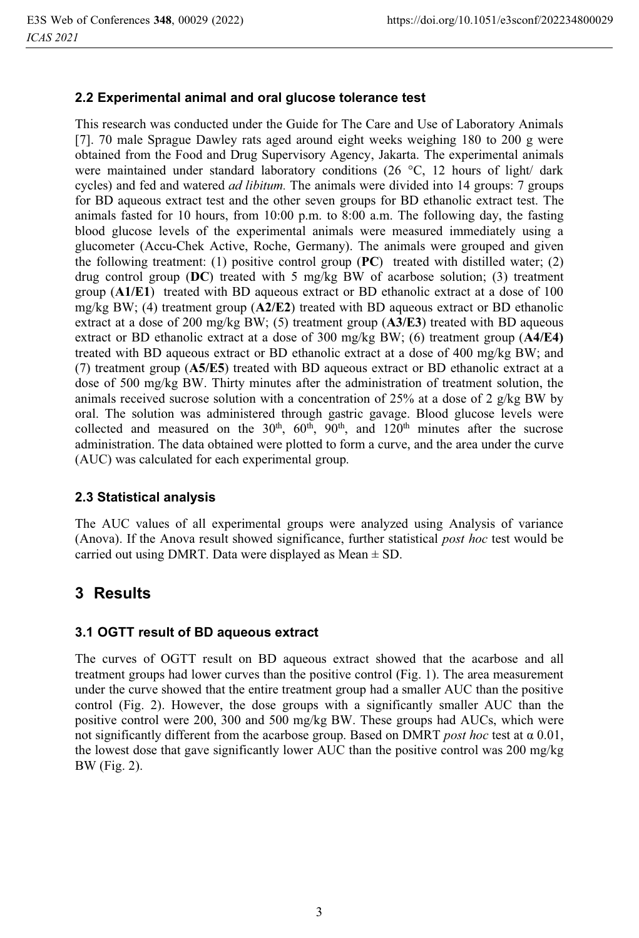#### **2.2 Experimental animal and oral glucose tolerance test**

This research was conducted under the Guide for The Care and Use of Laboratory Animals [7]. 70 male Sprague Dawley rats aged around eight weeks weighing 180 to 200 g were obtained from the Food and Drug Supervisory Agency, Jakarta. The experimental animals were maintained under standard laboratory conditions (26 °C, 12 hours of light/ dark cycles) and fed and watered *ad libitum.* The animals were divided into 14 groups: 7 groups for BD aqueous extract test and the other seven groups for BD ethanolic extract test. The animals fasted for 10 hours, from 10:00 p.m. to 8:00 a.m. The following day, the fasting blood glucose levels of the experimental animals were measured immediately using a glucometer (Accu-Chek Active, Roche, Germany). The animals were grouped and given the following treatment: (1) positive control group (**PC**) treated with distilled water; (2) drug control group (**DC**) treated with 5 mg/kg BW of acarbose solution; (3) treatment group (**A1/E1**) treated with BD aqueous extract or BD ethanolic extract at a dose of 100 mg/kg BW; (4) treatment group (**A2/E2**) treated with BD aqueous extract or BD ethanolic extract at a dose of 200 mg/kg BW; (5) treatment group (**A3/E3**) treated with BD aqueous extract or BD ethanolic extract at a dose of 300 mg/kg BW; (6) treatment group (**A4/E4)** treated with BD aqueous extract or BD ethanolic extract at a dose of 400 mg/kg BW; and (7) treatment group (**A5/E5**) treated with BD aqueous extract or BD ethanolic extract at a dose of 500 mg/kg BW. Thirty minutes after the administration of treatment solution, the animals received sucrose solution with a concentration of 25% at a dose of 2  $g/kg$  BW by oral. The solution was administered through gastric gavage. Blood glucose levels were collected and measured on the  $30<sup>th</sup>$ ,  $60<sup>th</sup>$ ,  $90<sup>th</sup>$ , and  $120<sup>th</sup>$  minutes after the sucrose administration. The data obtained were plotted to form a curve, and the area under the curve (AUC) was calculated for each experimental group.

#### **2.3 Statistical analysis**

The AUC values of all experimental groups were analyzed using Analysis of variance (Anova). If the Anova result showed significance, further statistical *post hoc* test would be carried out using DMRT. Data were displayed as Mean  $\pm$  SD.

## **3 Results**

#### **3.1 OGTT result of BD aqueous extract**

The curves of OGTT result on BD aqueous extract showed that the acarbose and all treatment groups had lower curves than the positive control (Fig. 1). The area measurement under the curve showed that the entire treatment group had a smaller AUC than the positive control (Fig. 2). However, the dose groups with a significantly smaller AUC than the positive control were 200, 300 and 500 mg/kg BW. These groups had AUCs, which were not significantly different from the acarbose group. Based on DMRT *post hoc* test at α 0.01, the lowest dose that gave significantly lower AUC than the positive control was 200 mg/kg BW (Fig. 2).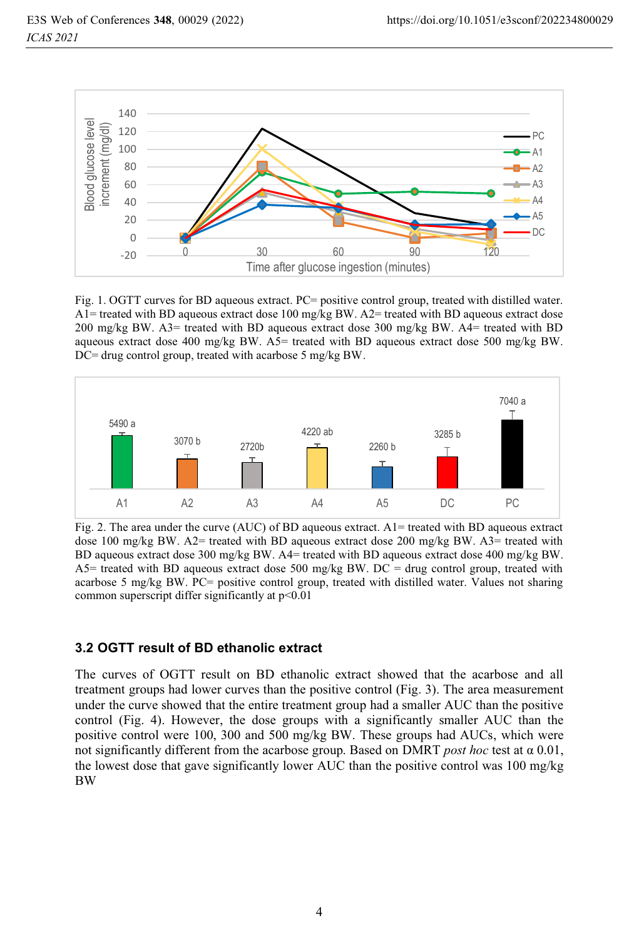

Fig. 1. OGTT curves for BD aqueous extract. PC= positive control group, treated with distilled water. A1= treated with BD aqueous extract dose 100 mg/kg BW. A2= treated with BD aqueous extract dose 200 mg/kg BW. A3= treated with BD aqueous extract dose 300 mg/kg BW. A4= treated with BD aqueous extract dose 400 mg/kg BW.  $A5$ = treated with BD aqueous extract dose 500 mg/kg BW. DC= drug control group, treated with acarbose 5 mg/kg BW.



Fig. 2. The area under the curve (AUC) of BD aqueous extract.  $A1$ = treated with BD aqueous extract dose 100 mg/kg BW. A2= treated with BD aqueous extract dose 200 mg/kg BW. A3= treated with BD aqueous extract dose 300 mg/kg BW. A4= treated with BD aqueous extract dose 400 mg/kg BW. A5= treated with BD aqueous extract dose 500 mg/kg BW. DC = drug control group, treated with acarbose 5 mg/kg BW. PC= positive control group, treated with distilled water. Values not sharing common superscript differ significantly at p<0.01

#### **3.2 OGTT result of BD ethanolic extract**

The curves of OGTT result on BD ethanolic extract showed that the acarbose and all treatment groups had lower curves than the positive control (Fig. 3). The area measurement under the curve showed that the entire treatment group had a smaller AUC than the positive control (Fig. 4). However, the dose groups with a significantly smaller AUC than the positive control were 100, 300 and 500 mg/kg BW. These groups had AUCs, which were not significantly different from the acarbose group. Based on DMRT *post hoc* test at α 0.01, the lowest dose that gave significantly lower AUC than the positive control was 100 mg/kg BW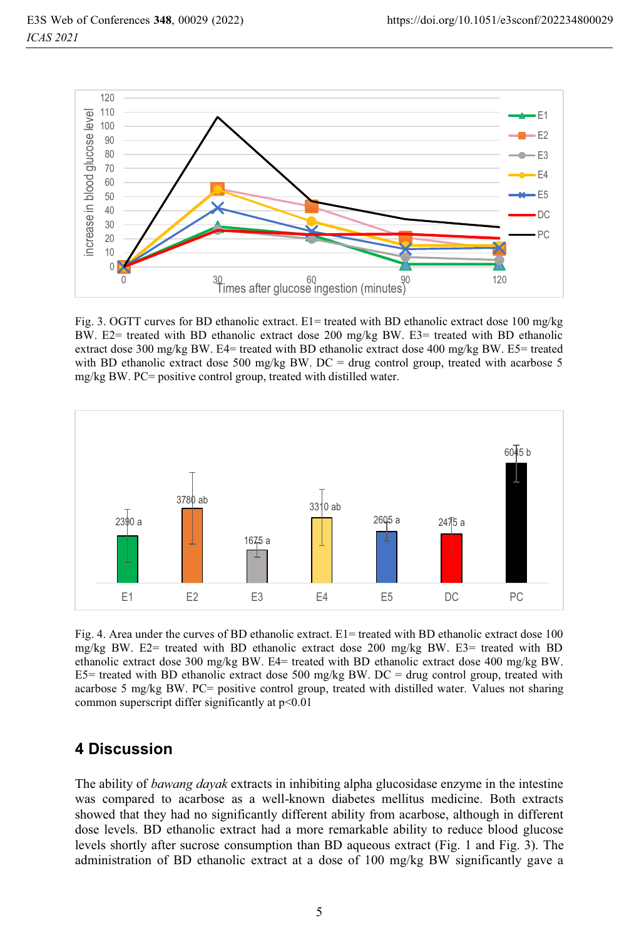

Fig. 3. OGTT curves for BD ethanolic extract.  $E1$  treated with BD ethanolic extract dose 100 mg/kg BW. E2= treated with BD ethanolic extract dose 200 mg/kg BW. E3= treated with BD ethanolic extract dose 300 mg/kg BW. E4= treated with BD ethanolic extract dose 400 mg/kg BW. E5= treated with BD ethanolic extract dose 500 mg/kg BW. DC = drug control group, treated with acarbose 5 mg/kg BW. PC= positive control group, treated with distilled water.



Fig. 4. Area under the curves of BD ethanolic extract. E1= treated with BD ethanolic extract dose 100 mg/kg BW. E2= treated with BD ethanolic extract dose 200 mg/kg BW. E3= treated with BD ethanolic extract dose 300 mg/kg BW. E4= treated with BD ethanolic extract dose 400 mg/kg BW. E5= treated with BD ethanolic extract dose 500 mg/kg BW. DC = drug control group, treated with acarbose 5 mg/kg BW. PC= positive control group, treated with distilled water. Values not sharing common superscript differ significantly at p<0.01

## **4 Discussion**

The ability of *bawang dayak* extracts in inhibiting alpha glucosidase enzyme in the intestine was compared to acarbose as a well-known diabetes mellitus medicine. Both extracts showed that they had no significantly different ability from acarbose, although in different dose levels. BD ethanolic extract had a more remarkable ability to reduce blood glucose levels shortly after sucrose consumption than BD aqueous extract (Fig. 1 and Fig. 3). The administration of BD ethanolic extract at a dose of 100 mg/kg BW significantly gave a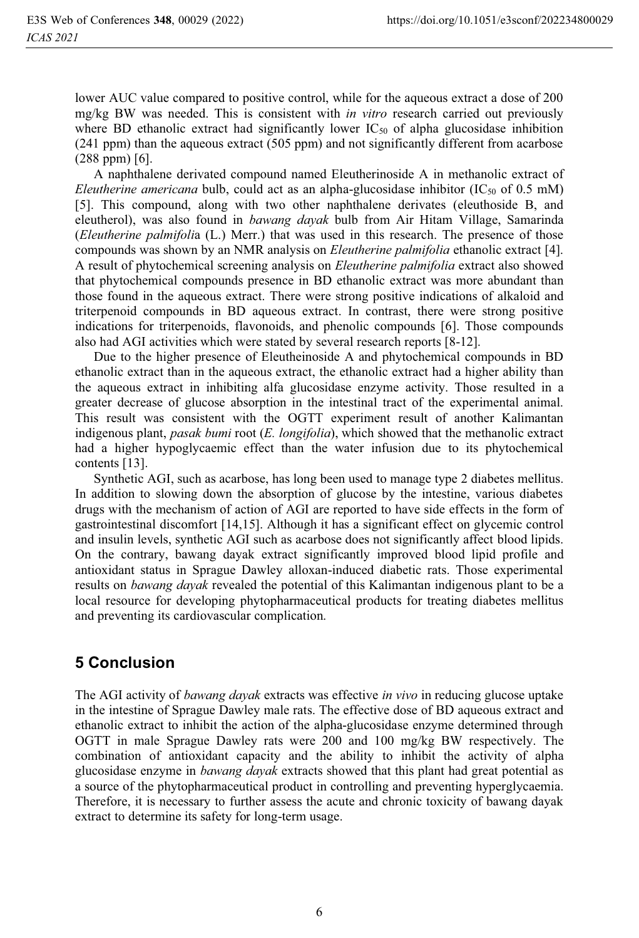lower AUC value compared to positive control, while for the aqueous extract a dose of 200 mg/kg BW was needed. This is consistent with *in vitro* research carried out previously where BD ethanolic extract had significantly lower  $IC_{50}$  of alpha glucosidase inhibition (241 ppm) than the aqueous extract (505 ppm) and not significantly different from acarbose (288 ppm) [6].

A naphthalene derivated compound named Eleutherinoside A in methanolic extract of *Eleutherine americana* bulb, could act as an alpha-glucosidase inhibitor ( $IC_{50}$  of 0.5 mM) [5]. This compound, along with two other naphthalene derivates (eleuthoside B, and eleutherol), was also found in *bawang dayak* bulb from Air Hitam Village, Samarinda (*Eleutherine palmifoli*a (L.) Merr.) that was used in this research. The presence of those compounds was shown by an NMR analysis on *Eleutherine palmifolia* ethanolic extract [4]. A result of phytochemical screening analysis on *Eleutherine palmifolia* extract also showed that phytochemical compounds presence in BD ethanolic extract was more abundant than those found in the aqueous extract. There were strong positive indications of alkaloid and triterpenoid compounds in BD aqueous extract. In contrast, there were strong positive indications for triterpenoids, flavonoids, and phenolic compounds [6]. Those compounds also had AGI activities which were stated by several research reports [8-12].

Due to the higher presence of Eleutheinoside A and phytochemical compounds in BD ethanolic extract than in the aqueous extract, the ethanolic extract had a higher ability than the aqueous extract in inhibiting alfa glucosidase enzyme activity. Those resulted in a greater decrease of glucose absorption in the intestinal tract of the experimental animal. This result was consistent with the OGTT experiment result of another Kalimantan indigenous plant, *pasak bumi* root (*E. longifolia*), which showed that the methanolic extract had a higher hypoglycaemic effect than the water infusion due to its phytochemical contents [13].

Synthetic AGI, such as acarbose, has long been used to manage type 2 diabetes mellitus. In addition to slowing down the absorption of glucose by the intestine, various diabetes drugs with the mechanism of action of AGI are reported to have side effects in the form of gastrointestinal discomfort [14,15]. Although it has a significant effect on glycemic control and insulin levels, synthetic AGI such as acarbose does not significantly affect blood lipids. On the contrary, bawang dayak extract significantly improved blood lipid profile and antioxidant status in Sprague Dawley alloxan-induced diabetic rats. Those experimental results on *bawang dayak* revealed the potential of this Kalimantan indigenous plant to be a local resource for developing phytopharmaceutical products for treating diabetes mellitus and preventing its cardiovascular complication.

# **5 Conclusion**

The AGI activity of *bawang dayak* extracts was effective *in vivo* in reducing glucose uptake in the intestine of Sprague Dawley male rats. The effective dose of BD aqueous extract and ethanolic extract to inhibit the action of the alpha-glucosidase enzyme determined through OGTT in male Sprague Dawley rats were 200 and 100 mg/kg BW respectively. The combination of antioxidant capacity and the ability to inhibit the activity of alpha glucosidase enzyme in *bawang dayak* extracts showed that this plant had great potential as a source of the phytopharmaceutical product in controlling and preventing hyperglycaemia. Therefore, it is necessary to further assess the acute and chronic toxicity of bawang dayak extract to determine its safety for long-term usage.